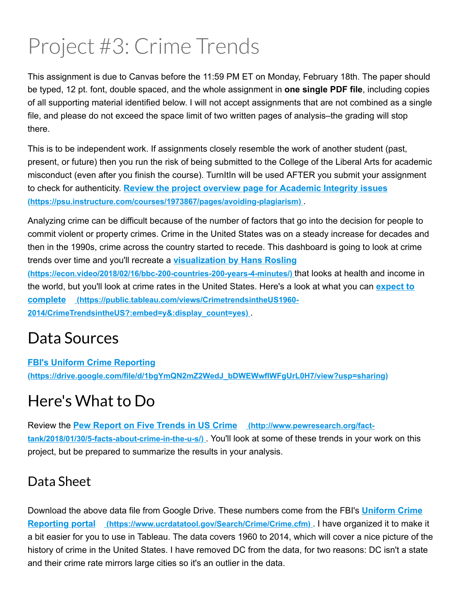# Project #3: Crime Trends

This assignment is due to Canvas before the 11:59 PM ET on Monday, February 18th. The paper should be typed, 12 pt. font, double spaced, and the whole assignment in **one single PDF file**, including copies of all supporting material identified below. I will not accept assignments that are not combined as a single file, and please do not exceed the space limit of two written pages of analysis–the grading will stop there.

This is to be independent work. If assignments closely resemble the work of another student (past, present, or future) then you run the risk of being submitted to the College of the Liberal Arts for academic misconduct (even after you finish the course). TurnItIn will be used AFTER you submit your assignment to check for authenticity. **Review the project overview page for Academic Integrity issues (https://psu.instructure.com/courses/1973867/pages/avoiding-plagiarism)** 

Analyzing crime can be difficult because of the number of factors that go into the decision for people to commit violent or property crimes. Crime in the United States was on a steady increase for decades and then in the 1990s, crime across the country started to recede. This dashboard is going to look at crime trends over time and you'll recreate a **visualization by Hans Rosling**

(https://econ.video/2018/02/16/bbc-200-countries-200-years-4-minutes/) that looks at health and income in the world, but you'll look at crime rates in the United States. Here's a look at what you can **expect to complete (https://public.tableau.com/views/CrimetrendsintheUS1960 2014/CrimeTrendsintheUS?:embed=y&:display\_count=yes)** .

# Data Sources

**FBI's Uniform Crime Reporting (https://drive.google.com/file/d/1bgYmQN2mZ2WedJ\_bDWEWwfIWFgUrL0H7/view?usp=sharing)**

# Here's What to Do

Review the **Pew Report on Five Trends in US Crime** (http://www.pewresearch.org/fact**tank/2018/01/30/5-facts-about-crime-in-the-u-s/)** . You'll look at some of these trends in your work on this project, but be prepared to summarize the results in your analysis.

# Data Sheet

Download the above data file from Google Drive. These numbers come from the FBI's **Uniform Crime Reporting portal (https://www.ucrdatatool.gov/Search/Crime/Crime.cfm)** . I have organized it to make it a bit easier for you to use in Tableau. The data covers 1960 to 2014, which will cover a nice picture of the history of crime in the United States. I have removed DC from the data, for two reasons: DC isn't a state and their crime rate mirrors large cities so it's an outlier in the data.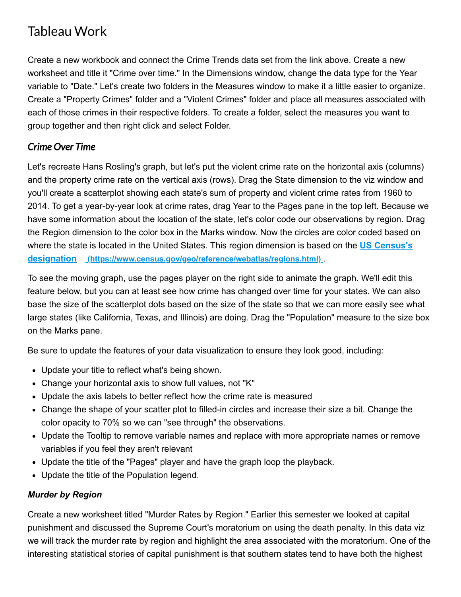### Tableau Work

Create a new workbook and connect the Crime Trends data set from the link above. Create a new worksheet and title it "Crime over time." In the Dimensions window, change the data type for the Year variable to "Date." Let's create two folders in the Measures window to make it a little easier to organize. Create a "Property Crimes" folder and a "Violent Crimes" folder and place all measures associated with each of those crimes in their respective folders. To create a folder, select the measures you want to group together and then right click and select Folder.

#### *Crime Over Time*

Let's recreate Hans Rosling's graph, but let's put the violent crime rate on the horizontal axis (columns) and the property crime rate on the vertical axis (rows). Drag the State dimension to the viz window and you'll create a scatterplot showing each state's sum of property and violent crime rates from 1960 to 2014. To get a year-by-year look at crime rates, drag Year to the Pages pane in the top left. Because we have some information about the location of the state, let's color code our observations by region. Drag the Region dimension to the color box in the Marks window. Now the circles are color coded based on where the state is located in the United States. This region dimension is based on the **US Census's designation (https://www.census.gov/geo/reference/webatlas/regions.html)** .

To see the moving graph, use the pages player on the right side to animate the graph. We'll edit this feature below, but you can at least see how crime has changed over time for your states. We can also base the size of the scatterplot dots based on the size of the state so that we can more easily see what large states (like California, Texas, and Illinois) are doing. Drag the "Population" measure to the size box on the Marks pane.

Be sure to update the features of your data visualization to ensure they look good, including:

- Update your title to reflect what's being shown.
- Change your horizontal axis to show full values, not "K"
- Update the axis labels to better reflect how the crime rate is measured
- Change the shape of your scatter plot to filled-in circles and increase their size a bit. Change the color opacity to 70% so we can "see through" the observations.
- Update the Tooltip to remove variable names and replace with more appropriate names or remove variables if you feel they aren't relevant
- Update the title of the "Pages" player and have the graph loop the playback.
- Update the title of the Population legend.

#### *Murder by Region*

Create a new worksheet titled "Murder Rates by Region." Earlier this semester we looked at capital punishment and discussed the Supreme Court's moratorium on using the death penalty. In this data viz we will track the murder rate by region and highlight the area associated with the moratorium. One of the interesting statistical stories of capital punishment is that southern states tend to have both the highest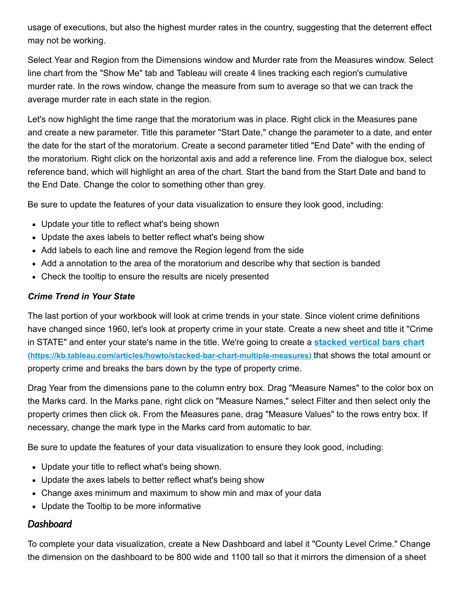usage of executions, but also the highest murder rates in the country, suggesting that the deterrent effect may not be working.

Select Year and Region from the Dimensions window and Murder rate from the Measures window. Select line chart from the "Show Me" tab and Tableau will create 4 lines tracking each region's cumulative murder rate. In the rows window, change the measure from sum to average so that we can track the average murder rate in each state in the region.

Let's now highlight the time range that the moratorium was in place. Right click in the Measures pane and create a new parameter. Title this parameter "Start Date," change the parameter to a date, and enter the date for the start of the moratorium. Create a second parameter titled "End Date" with the ending of the moratorium. Right click on the horizontal axis and add a reference line. From the dialogue box, select reference band, which will highlight an area of the chart. Start the band from the Start Date and band to the End Date. Change the color to something other than grey.

Be sure to update the features of your data visualization to ensure they look good, including:

- Update your title to reflect what's being shown
- Update the axes labels to better reflect what's being show
- Add labels to each line and remove the Region legend from the side
- Add a annotation to the area of the moratorium and describe why that section is banded
- Check the tooltip to ensure the results are nicely presented

#### *Crime Trend in Your State*

The last portion of your workbook will look at crime trends in your state. Since violent crime definitions have changed since 1960, let's look at property crime in your state. Create a new sheet and title it "Crime in STATE" and enter your state's name in the title. We're going to create a **stacked vertical bars chart** (https://kb.tableau.com/articles/howto/stacked-bar-chart-multiple-measures) that shows the total amount or property crime and breaks the bars down by the type of property crime.

Drag Year from the dimensions pane to the column entry box. Drag "Measure Names" to the color box on the Marks card. In the Marks pane, right click on "Measure Names," select Filter and then select only the property crimes then click ok. From the Measures pane, drag "Measure Values" to the rows entry box. If necessary, change the mark type in the Marks card from automatic to bar.

Be sure to update the features of your data visualization to ensure they look good, including:

- Update your title to reflect what's being shown.
- Update the axes labels to better reflect what's being show
- Change axes minimum and maximum to show min and max of your data
- Update the Tooltip to be more informative

#### *Dashboard*

To complete your data visualization, create a New Dashboard and label it "County Level Crime." Change the dimension on the dashboard to be 800 wide and 1100 tall so that it mirrors the dimension of a sheet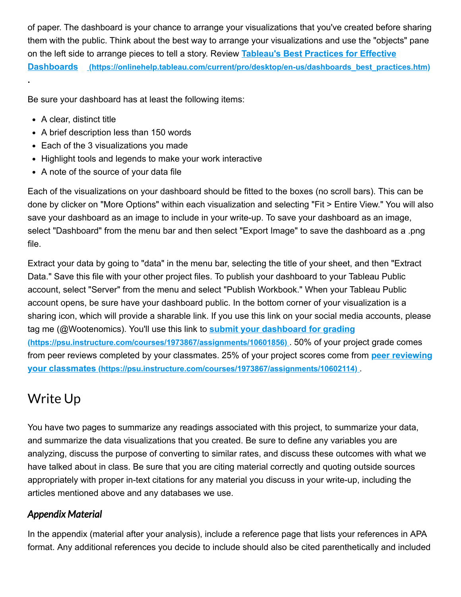of paper. The dashboard is your chance to arrange your visualizations that you've created before sharing them with the public. Think about the best way to arrange your visualizations and use the "objects" pane on the left side to arrange pieces to tell a story. Review **Tableau's Best Practices for Effective Dashboards** (https://onlinehelp.tableau.com/current/pro/desktop/en-us/dashboards best\_practices.htm)

Be sure your dashboard has at least the following items:

• A clear, distinct title

**.**

- A brief description less than 150 words
- Each of the 3 visualizations you made
- Highlight tools and legends to make your work interactive
- A note of the source of your data file

Each of the visualizations on your dashboard should be fitted to the boxes (no scroll bars). This can be done by clicker on "More Options" within each visualization and selecting "Fit > Entire View." You will also save your dashboard as an image to include in your write-up. To save your dashboard as an image, select "Dashboard" from the menu bar and then select "Export Image" to save the dashboard as a .png file.

Extract your data by going to "data" in the menu bar, selecting the title of your sheet, and then "Extract Data." Save this file with your other project files. To publish your dashboard to your Tableau Public account, select "Server" from the menu and select "Publish Workbook." When your Tableau Public account opens, be sure have your dashboard public. In the bottom corner of your visualization is a sharing icon, which will provide a sharable link. If you use this link on your social media accounts, please tag me (@Wootenomics). You'll use this link to **submit your dashboard for grading (https://psu.instructure.com/courses/1973867/assignments/10601856)** . 50% of your project grade comes from peer reviews completed by your classmates. 25% of your project scores come from **peer reviewing your classmates (https://psu.instructure.com/courses/1973867/assignments/10602114)** .

## Write Up

You have two pages to summarize any readings associated with this project, to summarize your data, and summarize the data visualizations that you created. Be sure to define any variables you are analyzing, discuss the purpose of converting to similar rates, and discuss these outcomes with what we have talked about in class. Be sure that you are citing material correctly and quoting outside sources appropriately with proper in-text citations for any material you discuss in your write-up, including the articles mentioned above and any databases we use.

#### *Appendix Material*

In the appendix (material after your analysis), include a reference page that lists your references in APA format. Any additional references you decide to include should also be cited parenthetically and included